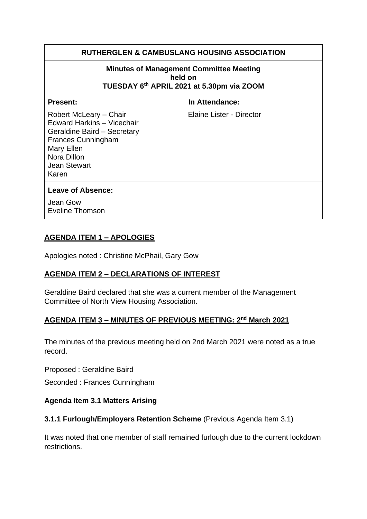## **RUTHERGLEN & CAMBUSLANG HOUSING ASSOCIATION**

#### **Minutes of Management Committee Meeting held on TUESDAY 6 th APRIL 2021 at 5.30pm via ZOOM**

**Present:** In Attendance:

Robert McLeary – Chair Elaine Lister - Director Edward Harkins – Vicechair Geraldine Baird – Secretary Frances Cunningham Mary Ellen Nora Dillon Jean Stewart Karen

#### **Leave of Absence:**

Jean Gow Eveline Thomson

### **AGENDA ITEM 1 – APOLOGIES**

Apologies noted : Christine McPhail, Gary Gow

## **AGENDA ITEM 2 – DECLARATIONS OF INTEREST**

Geraldine Baird declared that she was a current member of the Management Committee of North View Housing Association.

#### **AGENDA ITEM 3 – MINUTES OF PREVIOUS MEETING: 2 nd March 2021**

The minutes of the previous meeting held on 2nd March 2021 were noted as a true record.

Proposed : Geraldine Baird

Seconded : Frances Cunningham

#### **Agenda Item 3.1 Matters Arising**

#### **3.1.1 Furlough/Employers Retention Scheme** (Previous Agenda Item 3.1)

It was noted that one member of staff remained furlough due to the current lockdown restrictions.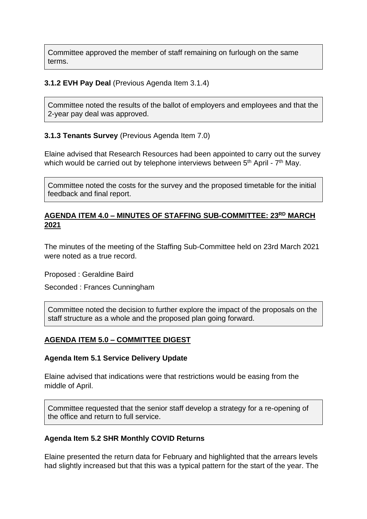Committee approved the member of staff remaining on furlough on the same terms.

#### **3.1.2 EVH Pay Deal** (Previous Agenda Item 3.1.4)

Committee noted the results of the ballot of employers and employees and that the 2-year pay deal was approved.

### **3.1.3 Tenants Survey** (Previous Agenda Item 7.0)

Elaine advised that Research Resources had been appointed to carry out the survey which would be carried out by telephone interviews between  $5<sup>th</sup>$  April -  $7<sup>th</sup>$  May.

Committee noted the costs for the survey and the proposed timetable for the initial feedback and final report.

### **AGENDA ITEM 4.0 – MINUTES OF STAFFING SUB-COMMITTEE: 23RD MARCH 2021**

The minutes of the meeting of the Staffing Sub-Committee held on 23rd March 2021 were noted as a true record.

Proposed : Geraldine Baird

Seconded : Frances Cunningham

Committee noted the decision to further explore the impact of the proposals on the staff structure as a whole and the proposed plan going forward.

## **AGENDA ITEM 5.0 – COMMITTEE DIGEST**

#### **Agenda Item 5.1 Service Delivery Update**

Elaine advised that indications were that restrictions would be easing from the middle of April.

Committee requested that the senior staff develop a strategy for a re-opening of the office and return to full service.

#### **Agenda Item 5.2 SHR Monthly COVID Returns**

Elaine presented the return data for February and highlighted that the arrears levels had slightly increased but that this was a typical pattern for the start of the year. The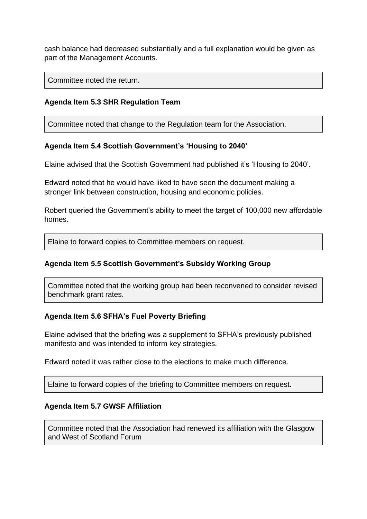cash balance had decreased substantially and a full explanation would be given as part of the Management Accounts.

Committee noted the return.

## **Agenda Item 5.3 SHR Regulation Team**

Committee noted that change to the Regulation team for the Association.

#### **Agenda Item 5.4 Scottish Government's 'Housing to 2040'**

Elaine advised that the Scottish Government had published it's 'Housing to 2040'.

Edward noted that he would have liked to have seen the document making a stronger link between construction, housing and economic policies.

Robert queried the Government's ability to meet the target of 100,000 new affordable homes.

Elaine to forward copies to Committee members on request.

#### **Agenda Item 5.5 Scottish Government's Subsidy Working Group**

Committee noted that the working group had been reconvened to consider revised benchmark grant rates.

#### **Agenda Item 5.6 SFHA's Fuel Poverty Briefing**

Elaine advised that the briefing was a supplement to SFHA's previously published manifesto and was intended to inform key strategies.

Edward noted it was rather close to the elections to make much difference.

Elaine to forward copies of the briefing to Committee members on request.

#### **Agenda Item 5.7 GWSF Affiliation**

Committee noted that the Association had renewed its affiliation with the Glasgow and West of Scotland Forum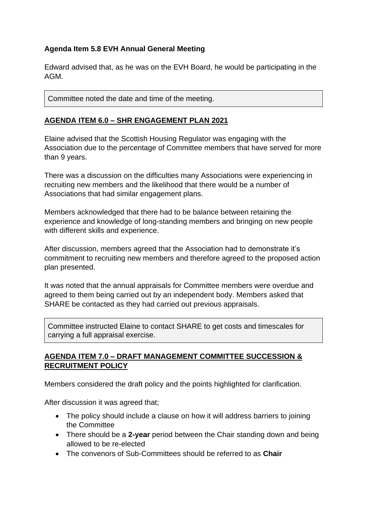# **Agenda Item 5.8 EVH Annual General Meeting**

Edward advised that, as he was on the EVH Board, he would be participating in the AGM.

Committee noted the date and time of the meeting.

# **AGENDA ITEM 6.0 – SHR ENGAGEMENT PLAN 2021**

Elaine advised that the Scottish Housing Regulator was engaging with the Association due to the percentage of Committee members that have served for more than 9 years.

There was a discussion on the difficulties many Associations were experiencing in recruiting new members and the likelihood that there would be a number of Associations that had similar engagement plans.

Members acknowledged that there had to be balance between retaining the experience and knowledge of long-standing members and bringing on new people with different skills and experience.

After discussion, members agreed that the Association had to demonstrate it's commitment to recruiting new members and therefore agreed to the proposed action plan presented.

It was noted that the annual appraisals for Committee members were overdue and agreed to them being carried out by an independent body. Members asked that SHARE be contacted as they had carried out previous appraisals.

Committee instructed Elaine to contact SHARE to get costs and timescales for carrying a full appraisal exercise.

## **AGENDA ITEM 7.0 – DRAFT MANAGEMENT COMMITTEE SUCCESSION & RECRUITMENT POLICY**

Members considered the draft policy and the points highlighted for clarification.

After discussion it was agreed that;

- The policy should include a clause on how it will address barriers to joining the Committee
- There should be a **2-year** period between the Chair standing down and being allowed to be re-elected
- The convenors of Sub-Committees should be referred to as **Chair**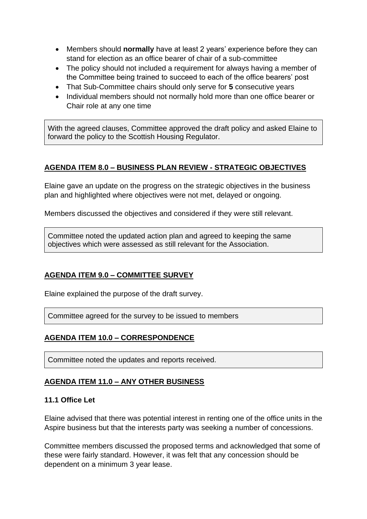- Members should **normally** have at least 2 years' experience before they can stand for election as an office bearer of chair of a sub-committee
- The policy should not included a requirement for always having a member of the Committee being trained to succeed to each of the office bearers' post
- That Sub-Committee chairs should only serve for **5** consecutive years
- Individual members should not normally hold more than one office bearer or Chair role at any one time

With the agreed clauses, Committee approved the draft policy and asked Elaine to forward the policy to the Scottish Housing Regulator.

# **AGENDA ITEM 8.0 – BUSINESS PLAN REVIEW - STRATEGIC OBJECTIVES**

Elaine gave an update on the progress on the strategic objectives in the business plan and highlighted where objectives were not met, delayed or ongoing.

Members discussed the objectives and considered if they were still relevant.

Committee noted the updated action plan and agreed to keeping the same objectives which were assessed as still relevant for the Association.

# **AGENDA ITEM 9.0 – COMMITTEE SURVEY**

Elaine explained the purpose of the draft survey.

Committee agreed for the survey to be issued to members

# **AGENDA ITEM 10.0 – CORRESPONDENCE**

Committee noted the updates and reports received.

# **AGENDA ITEM 11.0 – ANY OTHER BUSINESS**

#### **11.1 Office Let**

Elaine advised that there was potential interest in renting one of the office units in the Aspire business but that the interests party was seeking a number of concessions.

Committee members discussed the proposed terms and acknowledged that some of these were fairly standard. However, it was felt that any concession should be dependent on a minimum 3 year lease.